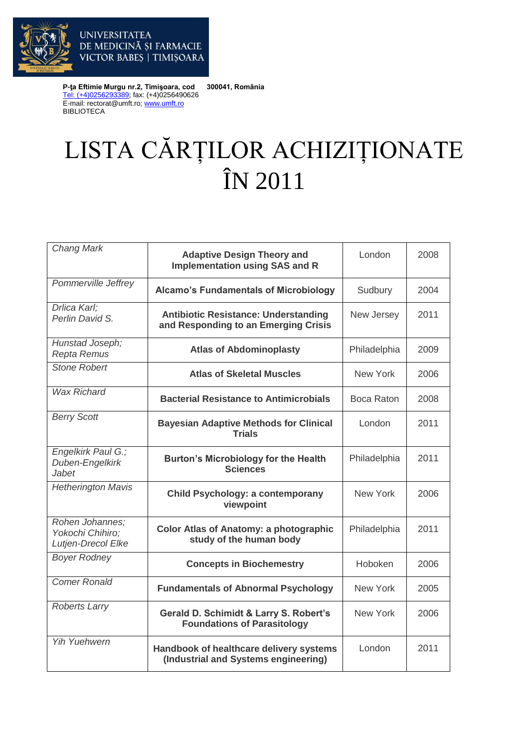

**P-ţa Eftimie Murgu nr.2, Timişoara, cod 300041, România** [Tel: \(+4\)0256293389;](tel:(40)0256293389) fax: (+4)0256490626 E-mail: rectorat@umft.ro[; www.umft.ro](http://www.umft.ro/) BIBLIOTECA

VICTOR BABES | TIMIȘOARA

**UNIVERSITATEA** 

## LISTA CĂRȚILOR ACHIZIȚIONATE ÎN 2011

| <b>Chang Mark</b>                                         | <b>Adaptive Design Theory and</b><br><b>Implementation using SAS and R</b>          | London       | 2008 |
|-----------------------------------------------------------|-------------------------------------------------------------------------------------|--------------|------|
| Pommerville Jeffrey                                       | <b>Alcamo's Fundamentals of Microbiology</b>                                        | Sudbury      | 2004 |
| Drlica Karl:<br>Perlin David S.                           | <b>Antibiotic Resistance: Understanding</b><br>and Responding to an Emerging Crisis | New Jersey   | 2011 |
| Hunstad Joseph;<br>Repta Remus                            | <b>Atlas of Abdominoplasty</b>                                                      | Philadelphia | 2009 |
| <b>Stone Robert</b>                                       | <b>Atlas of Skeletal Muscles</b>                                                    | New York     | 2006 |
| <b>Wax Richard</b>                                        | <b>Bacterial Resistance to Antimicrobials</b>                                       | Boca Raton   | 2008 |
| <b>Berry Scott</b>                                        | <b>Bayesian Adaptive Methods for Clinical</b><br><b>Trials</b>                      | London       | 2011 |
| Engelkirk Paul G.;<br>Duben-Engelkirk<br><b>Jabet</b>     | <b>Burton's Microbiology for the Health</b><br><b>Sciences</b>                      | Philadelphia | 2011 |
| <b>Hetherington Mavis</b>                                 | <b>Child Psychology: a contemporany</b><br>viewpoint                                | New York     | 2006 |
| Rohen Johannes;<br>Yokochi Chihiro:<br>Lutjen-Drecol Elke | <b>Color Atlas of Anatomy: a photographic</b><br>study of the human body            | Philadelphia | 2011 |
| <b>Boyer Rodney</b>                                       | <b>Concepts in Biochemestry</b>                                                     | Hoboken      | 2006 |
| <b>Comer Ronald</b>                                       | <b>Fundamentals of Abnormal Psychology</b>                                          | New York     | 2005 |
| <b>Roberts Larry</b>                                      | Gerald D. Schimidt & Larry S. Robert's<br><b>Foundations of Parasitology</b>        | New York     | 2006 |
| <b>Yih Yuehwern</b>                                       | Handbook of healthcare delivery systems<br>(Industrial and Systems engineering)     | London       | 2011 |